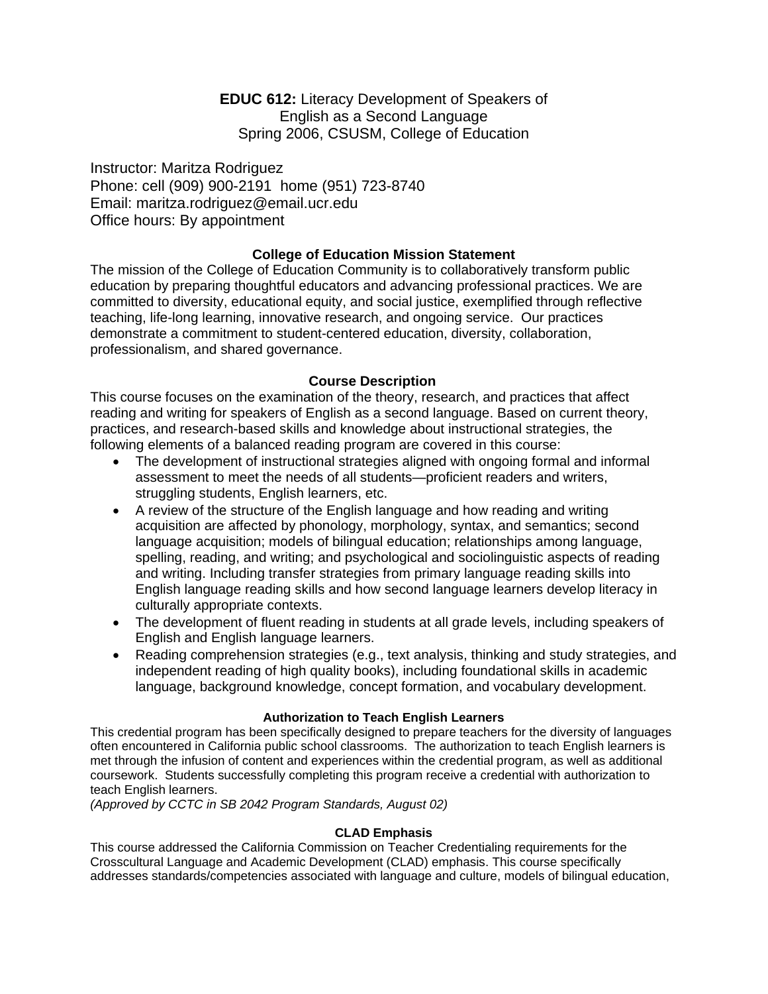**EDUC 612:** Literacy Development of Speakers of English as a Second Language Spring 2006, CSUSM, College of Education

Instructor: Maritza Rodriguez Phone: cell (909) 900-2191 home (951) 723-8740 Email: maritza.rodriguez@email.ucr.edu Office hours: By appointment

# **College of Education Mission Statement**

The mission of the College of Education Community is to collaboratively transform public education by preparing thoughtful educators and advancing professional practices. We are committed to diversity, educational equity, and social justice, exemplified through reflective teaching, life-long learning, innovative research, and ongoing service. Our practices demonstrate a commitment to student-centered education, diversity, collaboration, professionalism, and shared governance.

# **Course Description**

This course focuses on the examination of the theory, research, and practices that affect reading and writing for speakers of English as a second language. Based on current theory, practices, and research-based skills and knowledge about instructional strategies, the following elements of a balanced reading program are covered in this course:

- The development of instructional strategies aligned with ongoing formal and informal assessment to meet the needs of all students—proficient readers and writers, struggling students, English learners, etc.
- A review of the structure of the English language and how reading and writing acquisition are affected by phonology, morphology, syntax, and semantics; second language acquisition; models of bilingual education; relationships among language, spelling, reading, and writing; and psychological and sociolinguistic aspects of reading and writing. Including transfer strategies from primary language reading skills into English language reading skills and how second language learners develop literacy in culturally appropriate contexts.
- The development of fluent reading in students at all grade levels, including speakers of English and English language learners.
- Reading comprehension strategies (e.g., text analysis, thinking and study strategies, and independent reading of high quality books), including foundational skills in academic language, background knowledge, concept formation, and vocabulary development.

## **Authorization to Teach English Learners**

This credential program has been specifically designed to prepare teachers for the diversity of languages often encountered in California public school classrooms. The authorization to teach English learners is met through the infusion of content and experiences within the credential program, as well as additional coursework. Students successfully completing this program receive a credential with authorization to teach English learners.

*(Approved by CCTC in SB 2042 Program Standards, August 02)*

## **CLAD Emphasis**

This course addressed the California Commission on Teacher Credentialing requirements for the Crosscultural Language and Academic Development (CLAD) emphasis. This course specifically addresses standards/competencies associated with language and culture, models of bilingual education,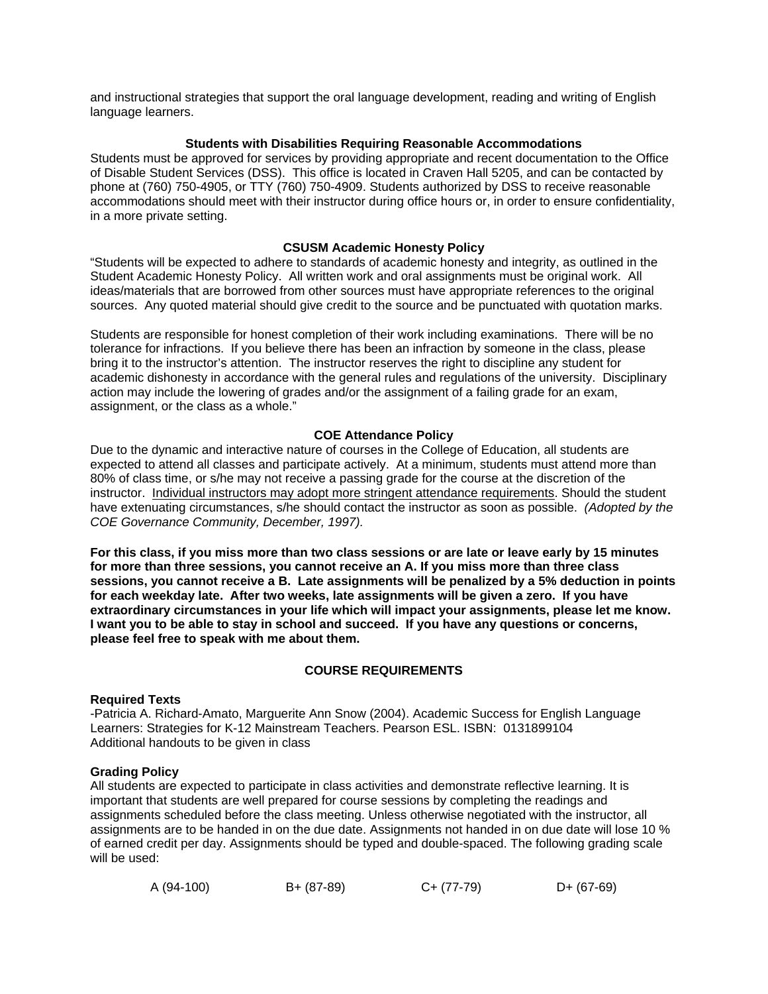and instructional strategies that support the oral language development, reading and writing of English language learners.

### **Students with Disabilities Requiring Reasonable Accommodations**

Students must be approved for services by providing appropriate and recent documentation to the Office of Disable Student Services (DSS). This office is located in Craven Hall 5205, and can be contacted by phone at (760) 750-4905, or TTY (760) 750-4909. Students authorized by DSS to receive reasonable accommodations should meet with their instructor during office hours or, in order to ensure confidentiality, in a more private setting.

### **CSUSM Academic Honesty Policy**

"Students will be expected to adhere to standards of academic honesty and integrity, as outlined in the Student Academic Honesty Policy. All written work and oral assignments must be original work. All ideas/materials that are borrowed from other sources must have appropriate references to the original sources. Any quoted material should give credit to the source and be punctuated with quotation marks.

Students are responsible for honest completion of their work including examinations. There will be no tolerance for infractions. If you believe there has been an infraction by someone in the class, please bring it to the instructor's attention. The instructor reserves the right to discipline any student for academic dishonesty in accordance with the general rules and regulations of the university. Disciplinary action may include the lowering of grades and/or the assignment of a failing grade for an exam, assignment, or the class as a whole."

### **COE Attendance Policy**

Due to the dynamic and interactive nature of courses in the College of Education, all students are expected to attend all classes and participate actively. At a minimum, students must attend more than 80% of class time, or s/he may not receive a passing grade for the course at the discretion of the instructor. Individual instructors may adopt more stringent attendance requirements. Should the student have extenuating circumstances, s/he should contact the instructor as soon as possible. *(Adopted by the COE Governance Community, December, 1997).*

**For this class, if you miss more than two class sessions or are late or leave early by 15 minutes for more than three sessions, you cannot receive an A. If you miss more than three class sessions, you cannot receive a B. Late assignments will be penalized by a 5% deduction in points for each weekday late. After two weeks, late assignments will be given a zero. If you have extraordinary circumstances in your life which will impact your assignments, please let me know. I want you to be able to stay in school and succeed. If you have any questions or concerns, please feel free to speak with me about them.** 

## **COURSE REQUIREMENTS**

#### **Required Texts**

-Patricia A. Richard-Amato, Marguerite Ann Snow (2004). Academic Success for English Language Learners: Strategies for K-12 Mainstream Teachers. Pearson ESL. ISBN: 0131899104 Additional handouts to be given in class

#### **Grading Policy**

All students are expected to participate in class activities and demonstrate reflective learning. It is important that students are well prepared for course sessions by completing the readings and assignments scheduled before the class meeting. Unless otherwise negotiated with the instructor, all assignments are to be handed in on the due date. Assignments not handed in on due date will lose 10 % of earned credit per day. Assignments should be typed and double-spaced. The following grading scale will be used:

| A (94-100) | B+ (87-89) | $C+ (77-79)$ | $D+ (67-69)$ |
|------------|------------|--------------|--------------|
|            |            |              |              |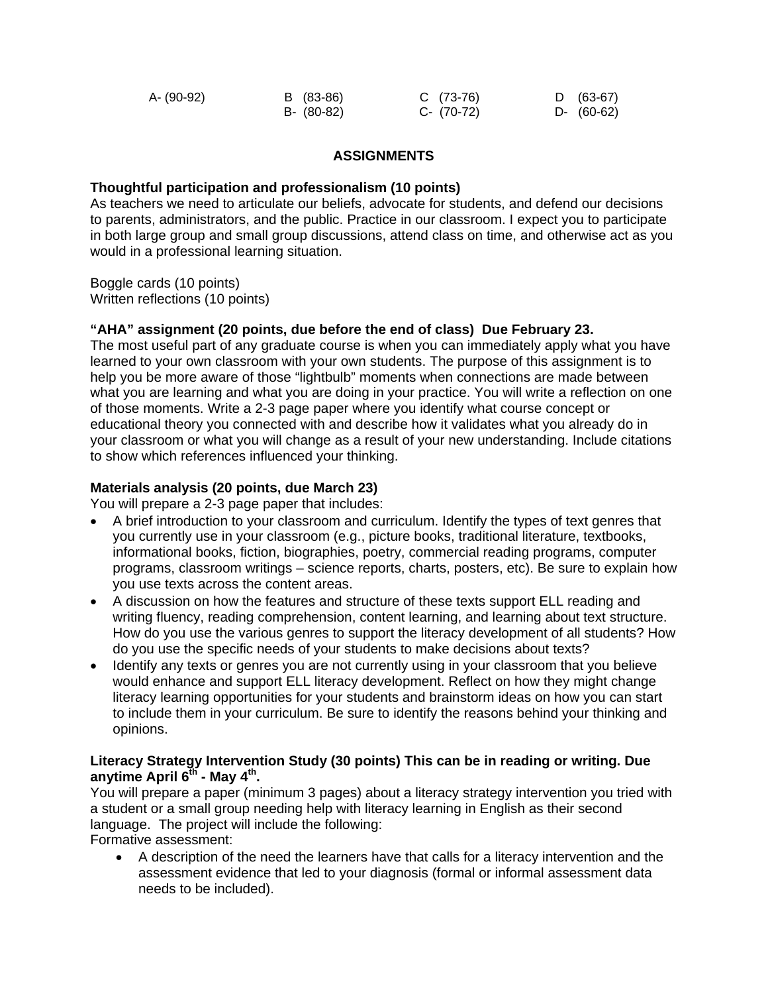| A- (90-92) | B (83-86)  | $C(73-76)$ | D (63-67)  |
|------------|------------|------------|------------|
|            | B- (80-82) | C- (70-72) | D- (60-62) |

## **ASSIGNMENTS**

## **Thoughtful participation and professionalism (10 points)**

As teachers we need to articulate our beliefs, advocate for students, and defend our decisions to parents, administrators, and the public. Practice in our classroom. I expect you to participate in both large group and small group discussions, attend class on time, and otherwise act as you would in a professional learning situation.

Boggle cards (10 points) Written reflections (10 points)

## **"AHA" assignment (20 points, due before the end of class) Due February 23.**

The most useful part of any graduate course is when you can immediately apply what you have learned to your own classroom with your own students. The purpose of this assignment is to help you be more aware of those "lightbulb" moments when connections are made between what you are learning and what you are doing in your practice. You will write a reflection on one of those moments. Write a 2-3 page paper where you identify what course concept or educational theory you connected with and describe how it validates what you already do in your classroom or what you will change as a result of your new understanding. Include citations to show which references influenced your thinking.

# **Materials analysis (20 points, due March 23)**

You will prepare a 2-3 page paper that includes:

- A brief introduction to your classroom and curriculum. Identify the types of text genres that you currently use in your classroom (e.g., picture books, traditional literature, textbooks, informational books, fiction, biographies, poetry, commercial reading programs, computer programs, classroom writings – science reports, charts, posters, etc). Be sure to explain how you use texts across the content areas.
- A discussion on how the features and structure of these texts support ELL reading and writing fluency, reading comprehension, content learning, and learning about text structure. How do you use the various genres to support the literacy development of all students? How do you use the specific needs of your students to make decisions about texts?
- Identify any texts or genres you are not currently using in your classroom that you believe would enhance and support ELL literacy development. Reflect on how they might change literacy learning opportunities for your students and brainstorm ideas on how you can start to include them in your curriculum. Be sure to identify the reasons behind your thinking and opinions.

# **Literacy Strategy Intervention Study (30 points) This can be in reading or writing. Due anytime April 6th - May 4th.**

You will prepare a paper (minimum 3 pages) about a literacy strategy intervention you tried with a student or a small group needing help with literacy learning in English as their second language. The project will include the following:

Formative assessment:

• A description of the need the learners have that calls for a literacy intervention and the assessment evidence that led to your diagnosis (formal or informal assessment data needs to be included).